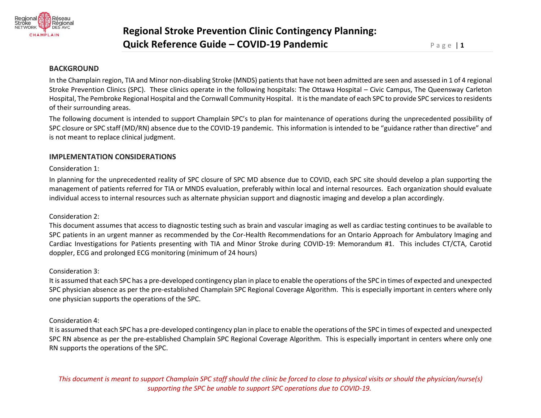

## **BACKGROUND**

In the Champlain region, TIA and Minor non-disabling Stroke (MNDS) patients that have not been admitted are seen and assessed in 1 of 4 regional Stroke Prevention Clinics (SPC). These clinics operate in the following hospitals: The Ottawa Hospital – Civic Campus, The Queensway Carleton Hospital, The Pembroke Regional Hospital and the Cornwall Community Hospital. It is the mandate of each SPC to provide SPC services to residents of their surrounding areas.

The following document is intended to support Champlain SPC's to plan for maintenance of operations during the unprecedented possibility of SPC closure or SPC staff (MD/RN) absence due to the COVID-19 pandemic. This information is intended to be "guidance rather than directive" and is not meant to replace clinical judgment.

## **IMPLEMENTATION CONSIDERATIONS**

Consideration 1:

In planning for the unprecedented reality of SPC closure of SPC MD absence due to COVID, each SPC site should develop a plan supporting the management of patients referred for TIA or MNDS evaluation, preferably within local and internal resources. Each organization should evaluate individual access to internal resources such as alternate physician support and diagnostic imaging and develop a plan accordingly.

### Consideration 2:

This document assumes that access to diagnostic testing such as brain and vascular imaging as well as cardiac testing continues to be available to SPC patients in an urgent manner as recommended by the Cor-Health Recommendations for an Ontario Approach for Ambulatory Imaging and Cardiac Investigations for Patients presenting with TIA and Minor Stroke during COVID-19: Memorandum #1. This includes CT/CTA, Carotid doppler, ECG and prolonged ECG monitoring (minimum of 24 hours)

### Consideration 3:

It is assumed that each SPC has a pre-developed contingency plan in place to enable the operations of the SPC in times of expected and unexpected SPC physician absence as per the pre-established Champlain SPC Regional Coverage Algorithm. This is especially important in centers where only one physician supports the operations of the SPC.

## Consideration 4:

It is assumed that each SPC has a pre-developed contingency plan in place to enable the operations of the SPC in times of expected and unexpected SPC RN absence as per the pre-established Champlain SPC Regional Coverage Algorithm. This is especially important in centers where only one RN supports the operations of the SPC.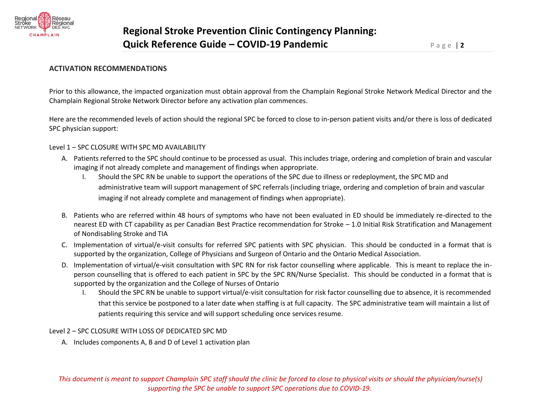

# **ACTIVATION RECOMMENDATIONS**

Prior to this allowance, the impacted organization must obtain approval from the Champlain Regional Stroke Network Medical Director and the Champlain Regional Stroke Network Director before any activation plan commences.

Here are the recommended levels of action should the regional SPC be forced to close to in-person patient visits and/or there is loss of dedicated SPC physician support:

### Level 1 – SPC CLOSURE WITH SPC MD AVAILABILITY

- A. Patients referred to the SPC should continue to be processed as usual. This includes triage, ordering and completion of brain and vascular imaging if not already complete and management of findings when appropriate.
	- I. Should the SPC RN be unable to support the operations of the SPC due to illness or redeployment, the SPC MD and administrative team will support management of SPC referrals (including triage, ordering and completion of brain and vascular imaging if not already complete and management of findings when appropriate).
- B. Patients who are referred within 48 hours of symptoms who have not been evaluated in ED should be immediately re-directed to the nearest ED with CT capability as per Canadian Best Practice recommendation for Stroke – 1.0 Initial Risk Stratification and Management of Nondisabling Stroke and TIA
- C. Implementation of virtual/e-visit consults for referred SPC patients with SPC physician. This should be conducted in a format that is supported by the organization, College of Physicians and Surgeon of Ontario and the Ontario Medical Association.
- D. Implementation of virtual/e-visit consultation with SPC RN for risk factor counselling where applicable. This is meant to replace the inperson counselling that is offered to each patient in SPC by the SPC RN/Nurse Specialist. This should be conducted in a format that is supported by the organization and the College of Nurses of Ontario
	- I. Should the SPC RN be unable to support virtual/e-visit consultation for risk factor counselling due to absence, it is recommended that this service be postponed to a later date when staffing is at full capacity. The SPC administrative team will maintain a list of patients requiring this service and will support scheduling once services resume.

### Level 2 – SPC CLOSURE WITH LOSS OF DEDICATED SPC MD

A. Includes components A, B and D of Level 1 activation plan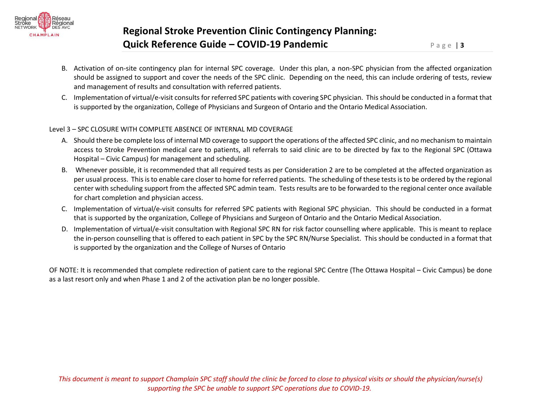

- B. Activation of on-site contingency plan for internal SPC coverage. Under this plan, a non-SPC physician from the affected organization should be assigned to support and cover the needs of the SPC clinic. Depending on the need, this can include ordering of tests, review and management of results and consultation with referred patients.
- C. Implementation of virtual/e-visit consults for referred SPC patients with covering SPC physician. This should be conducted in a format that is supported by the organization, College of Physicians and Surgeon of Ontario and the Ontario Medical Association.

### Level 3 – SPC CLOSURE WITH COMPLETE ABSENCE OF INTERNAL MD COVERAGE

- A. Should there be complete loss of internal MD coverage to support the operations of the affected SPC clinic, and no mechanism to maintain access to Stroke Prevention medical care to patients, all referrals to said clinic are to be directed by fax to the Regional SPC (Ottawa Hospital – Civic Campus) for management and scheduling.
- B. Whenever possible, it is recommended that all required tests as per Consideration 2 are to be completed at the affected organization as per usual process. This is to enable care closer to home for referred patients. The scheduling of these tests isto be ordered by the regional center with scheduling support from the affected SPC admin team. Tests results are to be forwarded to the regional center once available for chart completion and physician access.
- C. Implementation of virtual/e-visit consults for referred SPC patients with Regional SPC physician. This should be conducted in a format that is supported by the organization, College of Physicians and Surgeon of Ontario and the Ontario Medical Association.
- D. Implementation of virtual/e-visit consultation with Regional SPC RN for risk factor counselling where applicable. This is meant to replace the in-person counselling that is offered to each patient in SPC by the SPC RN/Nurse Specialist. This should be conducted in a format that is supported by the organization and the College of Nurses of Ontario

OF NOTE: It is recommended that complete redirection of patient care to the regional SPC Centre (The Ottawa Hospital – Civic Campus) be done as a last resort only and when Phase 1 and 2 of the activation plan be no longer possible.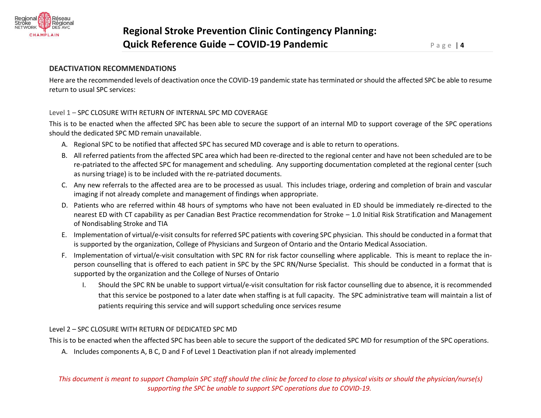

# **DEACTIVATION RECOMMENDATIONS**

Here are the recommended levels of deactivation once the COVID-19 pandemic state has terminated or should the affected SPC be able to resume return to usual SPC services:

### Level 1 – SPC CLOSURE WITH RETURN OF INTERNAL SPC MD COVERAGE

This is to be enacted when the affected SPC has been able to secure the support of an internal MD to support coverage of the SPC operations should the dedicated SPC MD remain unavailable.

- A. Regional SPC to be notified that affected SPC has secured MD coverage and is able to return to operations.
- B. All referred patients from the affected SPC area which had been re-directed to the regional center and have not been scheduled are to be re-patriated to the affected SPC for management and scheduling. Any supporting documentation completed at the regional center (such as nursing triage) is to be included with the re-patriated documents.
- C. Any new referrals to the affected area are to be processed as usual. This includes triage, ordering and completion of brain and vascular imaging if not already complete and management of findings when appropriate.
- D. Patients who are referred within 48 hours of symptoms who have not been evaluated in ED should be immediately re-directed to the nearest ED with CT capability as per Canadian Best Practice recommendation for Stroke – 1.0 Initial Risk Stratification and Management of Nondisabling Stroke and TIA
- E. Implementation of virtual/e-visit consults for referred SPC patients with covering SPC physician. This should be conducted in a format that is supported by the organization, College of Physicians and Surgeon of Ontario and the Ontario Medical Association.
- F. Implementation of virtual/e-visit consultation with SPC RN for risk factor counselling where applicable. This is meant to replace the inperson counselling that is offered to each patient in SPC by the SPC RN/Nurse Specialist. This should be conducted in a format that is supported by the organization and the College of Nurses of Ontario
	- I. Should the SPC RN be unable to support virtual/e-visit consultation for risk factor counselling due to absence, it is recommended that this service be postponed to a later date when staffing is at full capacity. The SPC administrative team will maintain a list of patients requiring this service and will support scheduling once services resume

## Level 2 – SPC CLOSURE WITH RETURN OF DEDICATED SPC MD

This is to be enacted when the affected SPC has been able to secure the support of the dedicated SPC MD for resumption of the SPC operations.

A. Includes components A, B C, D and F of Level 1 Deactivation plan if not already implemented